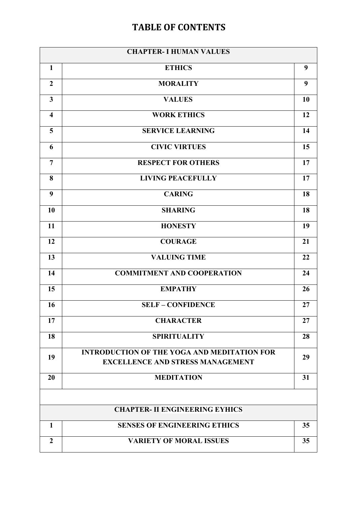## **TABLE OF CONTENTS**

| <b>CHAPTER- I HUMAN VALUES</b>        |                                                                                               |    |  |  |
|---------------------------------------|-----------------------------------------------------------------------------------------------|----|--|--|
| $\mathbf{1}$                          | <b>ETHICS</b>                                                                                 | 9  |  |  |
| $\overline{2}$                        | <b>MORALITY</b>                                                                               | 9  |  |  |
| $\mathbf{3}$                          | <b>VALUES</b>                                                                                 | 10 |  |  |
| $\overline{\mathbf{4}}$               | <b>WORK ETHICS</b>                                                                            | 12 |  |  |
| 5                                     | <b>SERVICE LEARNING</b>                                                                       | 14 |  |  |
| 6                                     | <b>CIVIC VIRTUES</b>                                                                          | 15 |  |  |
| $\overline{7}$                        | <b>RESPECT FOR OTHERS</b>                                                                     | 17 |  |  |
| 8                                     | <b>LIVING PEACEFULLY</b>                                                                      | 17 |  |  |
| 9                                     | <b>CARING</b>                                                                                 | 18 |  |  |
| 10                                    | <b>SHARING</b>                                                                                | 18 |  |  |
| 11                                    | <b>HONESTY</b>                                                                                | 19 |  |  |
| 12                                    | <b>COURAGE</b>                                                                                | 21 |  |  |
| 13                                    | <b>VALUING TIME</b>                                                                           | 22 |  |  |
| 14                                    | <b>COMMITMENT AND COOPERATION</b>                                                             | 24 |  |  |
| 15                                    | <b>EMPATHY</b>                                                                                | 26 |  |  |
| 16                                    | <b>SELF - CONFIDENCE</b>                                                                      | 27 |  |  |
| 17                                    | <b>CHARACTER</b>                                                                              | 27 |  |  |
| 18                                    | <b>SPIRITUALITY</b>                                                                           | 28 |  |  |
| 19                                    | <b>INTRODUCTION OF THE YOGA AND MEDITATION FOR</b><br><b>EXCELLENCE AND STRESS MANAGEMENT</b> | 29 |  |  |
| 20                                    | <b>MEDITATION</b>                                                                             | 31 |  |  |
|                                       |                                                                                               |    |  |  |
| <b>CHAPTER- II ENGINEERING EYHICS</b> |                                                                                               |    |  |  |
| $\mathbf{1}$                          | <b>SENSES OF ENGINEERING ETHICS</b>                                                           | 35 |  |  |
| $\boldsymbol{2}$                      | <b>VARIETY OF MORAL ISSUES</b>                                                                | 35 |  |  |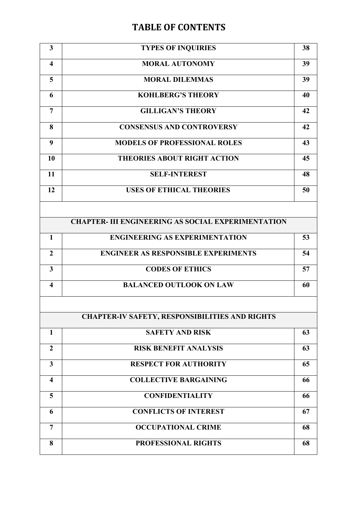## **TABLE OF CONTENTS**

| $\overline{\mathbf{3}}$                               | <b>TYPES OF INQUIRIES</b>                                 | 38 |  |
|-------------------------------------------------------|-----------------------------------------------------------|----|--|
| $\overline{\mathbf{4}}$                               | <b>MORAL AUTONOMY</b>                                     | 39 |  |
| 5                                                     | <b>MORAL DILEMMAS</b>                                     | 39 |  |
| 6                                                     | <b>KOHLBERG'S THEORY</b>                                  | 40 |  |
| $\overline{7}$                                        | <b>GILLIGAN'S THEORY</b>                                  | 42 |  |
| 8                                                     | <b>CONSENSUS AND CONTROVERSY</b>                          | 42 |  |
| 9                                                     | <b>MODELS OF PROFESSIONAL ROLES</b>                       | 43 |  |
| 10                                                    | <b>THEORIES ABOUT RIGHT ACTION</b>                        | 45 |  |
| 11                                                    | <b>SELF-INTEREST</b>                                      | 48 |  |
| 12                                                    | <b>USES OF ETHICAL THEORIES</b>                           | 50 |  |
|                                                       |                                                           |    |  |
|                                                       | <b>CHAPTER- III ENGINEERING AS SOCIAL EXPERIMENTATION</b> |    |  |
| $\mathbf{1}$                                          | <b>ENGINEERING AS EXPERIMENTATION</b>                     | 53 |  |
| $\overline{2}$                                        | <b>ENGINEER AS RESPONSIBLE EXPERIMENTS</b>                | 54 |  |
| $\overline{3}$                                        | <b>CODES OF ETHICS</b>                                    | 57 |  |
| $\overline{\mathbf{4}}$                               | <b>BALANCED OUTLOOK ON LAW</b>                            | 60 |  |
|                                                       |                                                           |    |  |
| <b>CHAPTER-IV SAFETY, RESPONSIBILITIES AND RIGHTS</b> |                                                           |    |  |

|                | <b>SAFETY AND RISK</b>       | 63 |
|----------------|------------------------------|----|
| $\mathfrak{D}$ | <b>RISK BENEFIT ANALYSIS</b> | 63 |
| 3              | <b>RESPECT FOR AUTHORITY</b> | 65 |
| 4              | <b>COLLECTIVE BARGAINING</b> | 66 |
| 5              | <b>CONFIDENTIALITY</b>       | 66 |
| 6              | <b>CONFLICTS OF INTEREST</b> | 67 |
| 7              | <b>OCCUPATIONAL CRIME</b>    | 68 |
| 8              | <b>PROFESSIONAL RIGHTS</b>   | 68 |